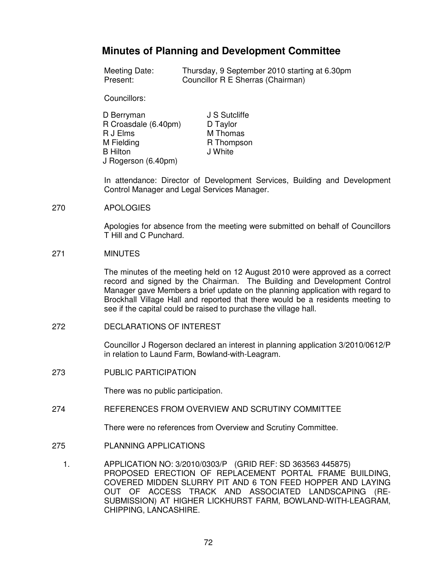## **Minutes of Planning and Development Committee**

| Meeting Date: | Thursday, 9 September 2010 starting at 6.30pm |
|---------------|-----------------------------------------------|
| Present:      | Councillor R E Sherras (Chairman)             |

Councillors:

| J S Sutcliffe |
|---------------|
| D Taylor      |
| M Thomas      |
| R Thompson    |
| J White       |
|               |
|               |

In attendance: Director of Development Services, Building and Development Control Manager and Legal Services Manager.

## 270 APOLOGIES

Apologies for absence from the meeting were submitted on behalf of Councillors T Hill and C Punchard.

## 271 MINUTES

The minutes of the meeting held on 12 August 2010 were approved as a correct record and signed by the Chairman. The Building and Development Control Manager gave Members a brief update on the planning application with regard to Brockhall Village Hall and reported that there would be a residents meeting to see if the capital could be raised to purchase the village hall.

272 DECLARATIONS OF INTEREST

Councillor J Rogerson declared an interest in planning application 3/2010/0612/P in relation to Laund Farm, Bowland-with-Leagram.

273 PUBLIC PARTICIPATION

There was no public participation.

274 REFERENCES FROM OVERVIEW AND SCRUTINY COMMITTEE

There were no references from Overview and Scrutiny Committee.

- 275 PLANNING APPLICATIONS
	- 1. APPLICATION NO: 3/2010/0303/P (GRID REF: SD 363563 445875) PROPOSED ERECTION OF REPLACEMENT PORTAL FRAME BUILDING, COVERED MIDDEN SLURRY PIT AND 6 TON FEED HOPPER AND LAYING OUT OF ACCESS TRACK AND ASSOCIATED LANDSCAPING (RE-SUBMISSION) AT HIGHER LICKHURST FARM, BOWLAND-WITH-LEAGRAM, CHIPPING, LANCASHIRE.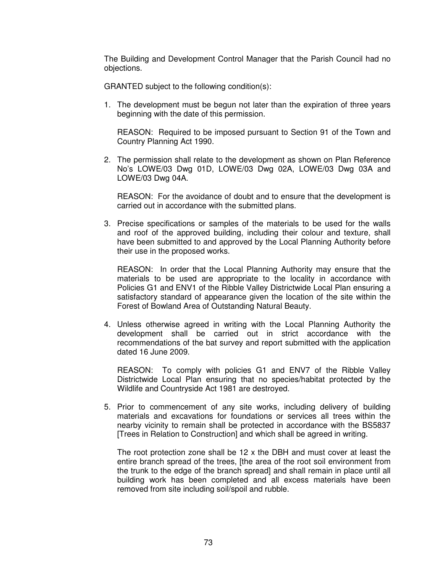The Building and Development Control Manager that the Parish Council had no objections.

GRANTED subject to the following condition(s):

1. The development must be begun not later than the expiration of three years beginning with the date of this permission.

 REASON: Required to be imposed pursuant to Section 91 of the Town and Country Planning Act 1990.

2. The permission shall relate to the development as shown on Plan Reference No's LOWE/03 Dwg 01D, LOWE/03 Dwg 02A, LOWE/03 Dwg 03A and LOWE/03 Dwg 04A.

 REASON: For the avoidance of doubt and to ensure that the development is carried out in accordance with the submitted plans.

3. Precise specifications or samples of the materials to be used for the walls and roof of the approved building, including their colour and texture, shall have been submitted to and approved by the Local Planning Authority before their use in the proposed works.

 REASON: In order that the Local Planning Authority may ensure that the materials to be used are appropriate to the locality in accordance with Policies G1 and ENV1 of the Ribble Valley Districtwide Local Plan ensuring a satisfactory standard of appearance given the location of the site within the Forest of Bowland Area of Outstanding Natural Beauty.

4. Unless otherwise agreed in writing with the Local Planning Authority the development shall be carried out in strict accordance with the recommendations of the bat survey and report submitted with the application dated 16 June 2009.

 REASON: To comply with policies G1 and ENV7 of the Ribble Valley Districtwide Local Plan ensuring that no species/habitat protected by the Wildlife and Countryside Act 1981 are destroyed.

5. Prior to commencement of any site works, including delivery of building materials and excavations for foundations or services all trees within the nearby vicinity to remain shall be protected in accordance with the BS5837 [Trees in Relation to Construction] and which shall be agreed in writing.

The root protection zone shall be  $12 \times$  the DBH and must cover at least the entire branch spread of the trees, [the area of the root soil environment from the trunk to the edge of the branch spread] and shall remain in place until all building work has been completed and all excess materials have been removed from site including soil/spoil and rubble.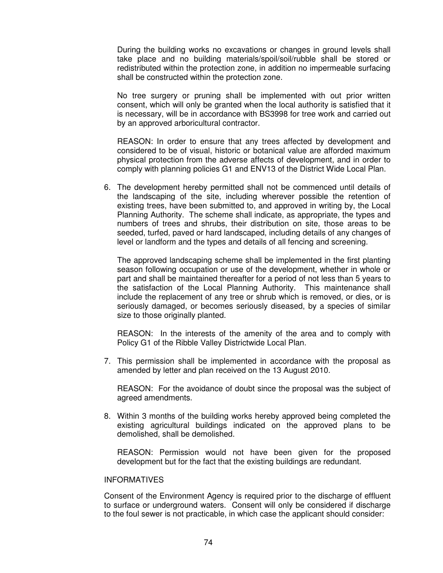During the building works no excavations or changes in ground levels shall take place and no building materials/spoil/soil/rubble shall be stored or redistributed within the protection zone, in addition no impermeable surfacing shall be constructed within the protection zone.

 No tree surgery or pruning shall be implemented with out prior written consent, which will only be granted when the local authority is satisfied that it is necessary, will be in accordance with BS3998 for tree work and carried out by an approved arboricultural contractor.

 REASON: In order to ensure that any trees affected by development and considered to be of visual, historic or botanical value are afforded maximum physical protection from the adverse affects of development, and in order to comply with planning policies G1 and ENV13 of the District Wide Local Plan.

6. The development hereby permitted shall not be commenced until details of the landscaping of the site, including wherever possible the retention of existing trees, have been submitted to, and approved in writing by, the Local Planning Authority. The scheme shall indicate, as appropriate, the types and numbers of trees and shrubs, their distribution on site, those areas to be seeded, turfed, paved or hard landscaped, including details of any changes of level or landform and the types and details of all fencing and screening.

 The approved landscaping scheme shall be implemented in the first planting season following occupation or use of the development, whether in whole or part and shall be maintained thereafter for a period of not less than 5 years to the satisfaction of the Local Planning Authority. This maintenance shall include the replacement of any tree or shrub which is removed, or dies, or is seriously damaged, or becomes seriously diseased, by a species of similar size to those originally planted.

 REASON: In the interests of the amenity of the area and to comply with Policy G1 of the Ribble Valley Districtwide Local Plan.

7. This permission shall be implemented in accordance with the proposal as amended by letter and plan received on the 13 August 2010.

 REASON: For the avoidance of doubt since the proposal was the subject of agreed amendments.

8. Within 3 months of the building works hereby approved being completed the existing agricultural buildings indicated on the approved plans to be demolished, shall be demolished.

REASON: Permission would not have been given for the proposed development but for the fact that the existing buildings are redundant.

## INFORMATIVES

Consent of the Environment Agency is required prior to the discharge of effluent to surface or underground waters. Consent will only be considered if discharge to the foul sewer is not practicable, in which case the applicant should consider: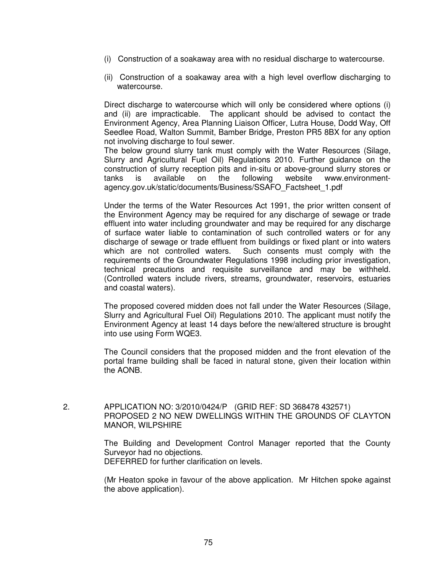- (i) Construction of a soakaway area with no residual discharge to watercourse.
- (ii) Construction of a soakaway area with a high level overflow discharging to watercourse.

Direct discharge to watercourse which will only be considered where options (i) and (ii) are impracticable. The applicant should be advised to contact the Environment Agency, Area Planning Liaison Officer, Lutra House, Dodd Way, Off Seedlee Road, Walton Summit, Bamber Bridge, Preston PR5 8BX for any option not involving discharge to foul sewer.

The below ground slurry tank must comply with the Water Resources (Silage, Slurry and Agricultural Fuel Oil) Regulations 2010. Further guidance on the construction of slurry reception pits and in-situ or above-ground slurry stores or tanks is available on the following website www.environmentagency.gov.uk/static/documents/Business/SSAFO\_Factsheet\_1.pdf

Under the terms of the Water Resources Act 1991, the prior written consent of the Environment Agency may be required for any discharge of sewage or trade effluent into water including groundwater and may be required for any discharge of surface water liable to contamination of such controlled waters or for any discharge of sewage or trade effluent from buildings or fixed plant or into waters which are not controlled waters. Such consents must comply with the requirements of the Groundwater Regulations 1998 including prior investigation, technical precautions and requisite surveillance and may be withheld. (Controlled waters include rivers, streams, groundwater, reservoirs, estuaries and coastal waters).

The proposed covered midden does not fall under the Water Resources (Silage, Slurry and Agricultural Fuel Oil) Regulations 2010. The applicant must notify the Environment Agency at least 14 days before the new/altered structure is brought into use using Form WQE3.

The Council considers that the proposed midden and the front elevation of the portal frame building shall be faced in natural stone, given their location within the AONB.

 2. APPLICATION NO: 3/2010/0424/P (GRID REF: SD 368478 432571) PROPOSED 2 NO NEW DWELLINGS WITHIN THE GROUNDS OF CLAYTON MANOR, WILPSHIRE

> The Building and Development Control Manager reported that the County Surveyor had no objections. DEFERRED for further clarification on levels.

> (Mr Heaton spoke in favour of the above application. Mr Hitchen spoke against the above application).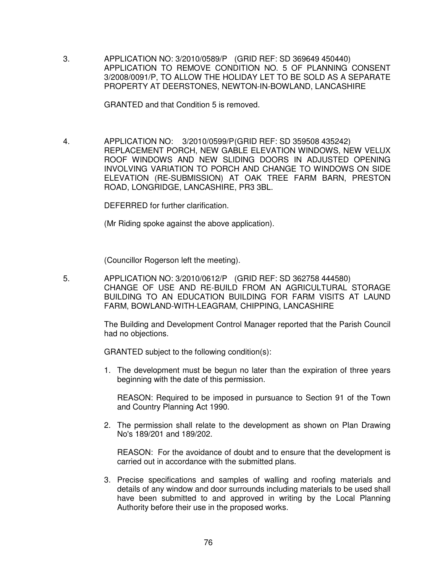3. APPLICATION NO: 3/2010/0589/P (GRID REF: SD 369649 450440) APPLICATION TO REMOVE CONDITION NO. 5 OF PLANNING CONSENT 3/2008/0091/P, TO ALLOW THE HOLIDAY LET TO BE SOLD AS A SEPARATE PROPERTY AT DEERSTONES, NEWTON-IN-BOWLAND, LANCASHIRE

GRANTED and that Condition 5 is removed.

 4. APPLICATION NO: 3/2010/0599/P (GRID REF: SD 359508 435242) REPLACEMENT PORCH, NEW GABLE ELEVATION WINDOWS, NEW VELUX ROOF WINDOWS AND NEW SLIDING DOORS IN ADJUSTED OPENING INVOLVING VARIATION TO PORCH AND CHANGE TO WINDOWS ON SIDE ELEVATION (RE-SUBMISSION) AT OAK TREE FARM BARN, PRESTON ROAD, LONGRIDGE, LANCASHIRE, PR3 3BL.

DEFERRED for further clarification.

(Mr Riding spoke against the above application).

(Councillor Rogerson left the meeting).

 5. APPLICATION NO: 3/2010/0612/P (GRID REF: SD 362758 444580) CHANGE OF USE AND RE-BUILD FROM AN AGRICULTURAL STORAGE BUILDING TO AN EDUCATION BUILDING FOR FARM VISITS AT LAUND FARM, BOWLAND-WITH-LEAGRAM, CHIPPING, LANCASHIRE

> The Building and Development Control Manager reported that the Parish Council had no objections.

GRANTED subject to the following condition(s):

1. The development must be begun no later than the expiration of three years beginning with the date of this permission.

 REASON: Required to be imposed in pursuance to Section 91 of the Town and Country Planning Act 1990.

2. The permission shall relate to the development as shown on Plan Drawing No's 189/201 and 189/202.

 REASON: For the avoidance of doubt and to ensure that the development is carried out in accordance with the submitted plans.

3. Precise specifications and samples of walling and roofing materials and details of any window and door surrounds including materials to be used shall have been submitted to and approved in writing by the Local Planning Authority before their use in the proposed works.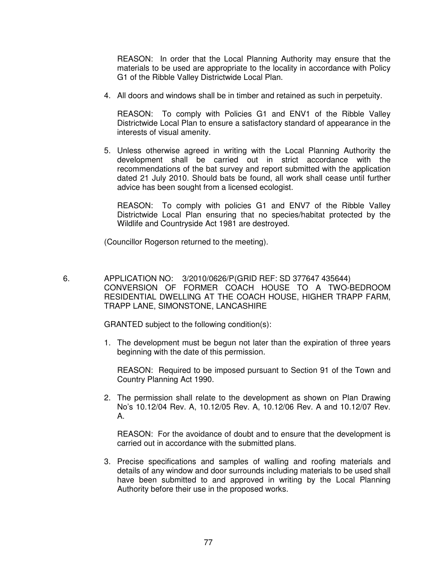REASON: In order that the Local Planning Authority may ensure that the materials to be used are appropriate to the locality in accordance with Policy G1 of the Ribble Valley Districtwide Local Plan.

4. All doors and windows shall be in timber and retained as such in perpetuity.

 REASON: To comply with Policies G1 and ENV1 of the Ribble Valley Districtwide Local Plan to ensure a satisfactory standard of appearance in the interests of visual amenity.

5. Unless otherwise agreed in writing with the Local Planning Authority the development shall be carried out in strict accordance with the recommendations of the bat survey and report submitted with the application dated 21 July 2010. Should bats be found, all work shall cease until further advice has been sought from a licensed ecologist.

 REASON: To comply with policies G1 and ENV7 of the Ribble Valley Districtwide Local Plan ensuring that no species/habitat protected by the Wildlife and Countryside Act 1981 are destroyed.

(Councillor Rogerson returned to the meeting).

 6. APPLICATION NO: 3/2010/0626/P (GRID REF: SD 377647 435644) CONVERSION OF FORMER COACH HOUSE TO A TWO-BEDROOM RESIDENTIAL DWELLING AT THE COACH HOUSE, HIGHER TRAPP FARM, TRAPP LANE, SIMONSTONE, LANCASHIRE

GRANTED subject to the following condition(s):

1. The development must be begun not later than the expiration of three years beginning with the date of this permission.

 REASON: Required to be imposed pursuant to Section 91 of the Town and Country Planning Act 1990.

2. The permission shall relate to the development as shown on Plan Drawing No's 10.12/04 Rev. A, 10.12/05 Rev. A, 10.12/06 Rev. A and 10.12/07 Rev. A.

 REASON: For the avoidance of doubt and to ensure that the development is carried out in accordance with the submitted plans.

3. Precise specifications and samples of walling and roofing materials and details of any window and door surrounds including materials to be used shall have been submitted to and approved in writing by the Local Planning Authority before their use in the proposed works.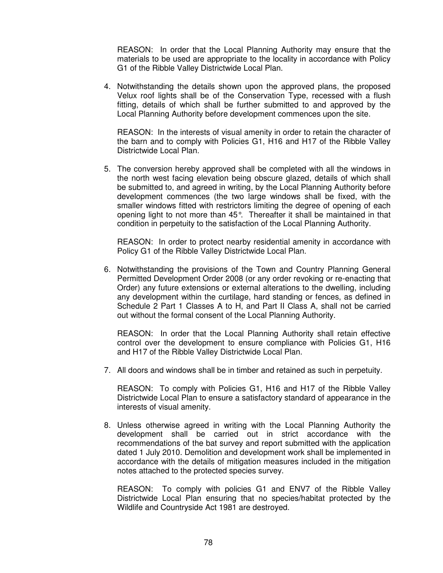REASON: In order that the Local Planning Authority may ensure that the materials to be used are appropriate to the locality in accordance with Policy G1 of the Ribble Valley Districtwide Local Plan.

4. Notwithstanding the details shown upon the approved plans, the proposed Velux roof lights shall be of the Conservation Type, recessed with a flush fitting, details of which shall be further submitted to and approved by the Local Planning Authority before development commences upon the site.

 REASON: In the interests of visual amenity in order to retain the character of the barn and to comply with Policies G1, H16 and H17 of the Ribble Valley Districtwide Local Plan.

5. The conversion hereby approved shall be completed with all the windows in the north west facing elevation being obscure glazed, details of which shall be submitted to, and agreed in writing, by the Local Planning Authority before development commences (the two large windows shall be fixed, with the smaller windows fitted with restrictors limiting the degree of opening of each opening light to not more than 45°. Thereafter it shall be maintained in that condition in perpetuity to the satisfaction of the Local Planning Authority.

 REASON: In order to protect nearby residential amenity in accordance with Policy G1 of the Ribble Valley Districtwide Local Plan.

6. Notwithstanding the provisions of the Town and Country Planning General Permitted Development Order 2008 (or any order revoking or re-enacting that Order) any future extensions or external alterations to the dwelling, including any development within the curtilage, hard standing or fences, as defined in Schedule 2 Part 1 Classes A to H, and Part II Class A, shall not be carried out without the formal consent of the Local Planning Authority.

 REASON: In order that the Local Planning Authority shall retain effective control over the development to ensure compliance with Policies G1, H16 and H17 of the Ribble Valley Districtwide Local Plan.

7. All doors and windows shall be in timber and retained as such in perpetuity.

 REASON: To comply with Policies G1, H16 and H17 of the Ribble Valley Districtwide Local Plan to ensure a satisfactory standard of appearance in the interests of visual amenity.

8. Unless otherwise agreed in writing with the Local Planning Authority the development shall be carried out in strict accordance with the recommendations of the bat survey and report submitted with the application dated 1 July 2010. Demolition and development work shall be implemented in accordance with the details of mitigation measures included in the mitigation notes attached to the protected species survey.

 REASON: To comply with policies G1 and ENV7 of the Ribble Valley Districtwide Local Plan ensuring that no species/habitat protected by the Wildlife and Countryside Act 1981 are destroyed.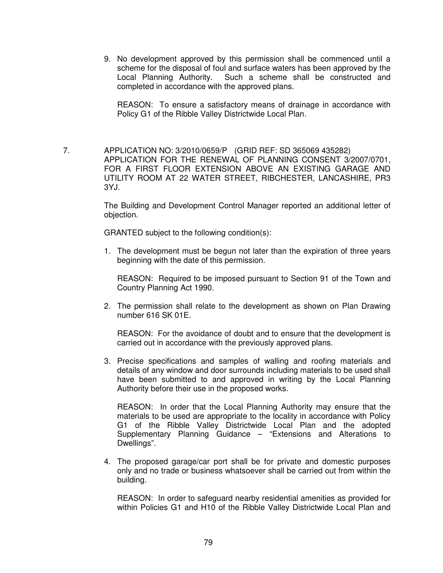9. No development approved by this permission shall be commenced until a scheme for the disposal of foul and surface waters has been approved by the Local Planning Authority. Such a scheme shall be constructed and Such a scheme shall be constructed and completed in accordance with the approved plans.

 REASON: To ensure a satisfactory means of drainage in accordance with Policy G1 of the Ribble Valley Districtwide Local Plan.

 7. APPLICATION NO: 3/2010/0659/P (GRID REF: SD 365069 435282) APPLICATION FOR THE RENEWAL OF PLANNING CONSENT 3/2007/0701, FOR A FIRST FLOOR EXTENSION ABOVE AN EXISTING GARAGE AND UTILITY ROOM AT 22 WATER STREET, RIBCHESTER, LANCASHIRE, PR3 3YJ.

> The Building and Development Control Manager reported an additional letter of objection.

GRANTED subject to the following condition(s):

1. The development must be begun not later than the expiration of three years beginning with the date of this permission.

REASON: Required to be imposed pursuant to Section 91 of the Town and Country Planning Act 1990.

2. The permission shall relate to the development as shown on Plan Drawing number 616 SK 01E.

REASON: For the avoidance of doubt and to ensure that the development is carried out in accordance with the previously approved plans.

3. Precise specifications and samples of walling and roofing materials and details of any window and door surrounds including materials to be used shall have been submitted to and approved in writing by the Local Planning Authority before their use in the proposed works.

 REASON: In order that the Local Planning Authority may ensure that the materials to be used are appropriate to the locality in accordance with Policy G1 of the Ribble Valley Districtwide Local Plan and the adopted Supplementary Planning Guidance – "Extensions and Alterations to Dwellings".

4. The proposed garage/car port shall be for private and domestic purposes only and no trade or business whatsoever shall be carried out from within the building.

 REASON: In order to safeguard nearby residential amenities as provided for within Policies G1 and H10 of the Ribble Valley Districtwide Local Plan and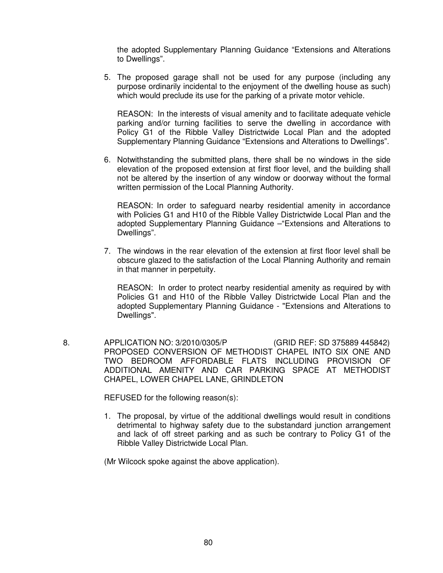the adopted Supplementary Planning Guidance "Extensions and Alterations to Dwellings".

5. The proposed garage shall not be used for any purpose (including any purpose ordinarily incidental to the enjoyment of the dwelling house as such) which would preclude its use for the parking of a private motor vehicle.

 REASON: In the interests of visual amenity and to facilitate adequate vehicle parking and/or turning facilities to serve the dwelling in accordance with Policy G1 of the Ribble Valley Districtwide Local Plan and the adopted Supplementary Planning Guidance "Extensions and Alterations to Dwellings".

6. Notwithstanding the submitted plans, there shall be no windows in the side elevation of the proposed extension at first floor level, and the building shall not be altered by the insertion of any window or doorway without the formal written permission of the Local Planning Authority.

 REASON: In order to safeguard nearby residential amenity in accordance with Policies G1 and H10 of the Ribble Valley Districtwide Local Plan and the adopted Supplementary Planning Guidance –"Extensions and Alterations to Dwellings".

7. The windows in the rear elevation of the extension at first floor level shall be obscure glazed to the satisfaction of the Local Planning Authority and remain in that manner in perpetuity.

 REASON: In order to protect nearby residential amenity as required by with Policies G1 and H10 of the Ribble Valley Districtwide Local Plan and the adopted Supplementary Planning Guidance - "Extensions and Alterations to Dwellings".

 8. APPLICATION NO: 3/2010/0305/P(GRID REF: SD 375889 445842) PROPOSED CONVERSION OF METHODIST CHAPEL INTO SIX ONE AND TWO BEDROOM AFFORDABLE FLATS INCLUDING PROVISION OF ADDITIONAL AMENITY AND CAR PARKING SPACE AT METHODIST CHAPEL, LOWER CHAPEL LANE, GRINDLETON

REFUSED for the following reason(s):

1. The proposal, by virtue of the additional dwellings would result in conditions detrimental to highway safety due to the substandard junction arrangement and lack of off street parking and as such be contrary to Policy G1 of the Ribble Valley Districtwide Local Plan.

(Mr Wilcock spoke against the above application).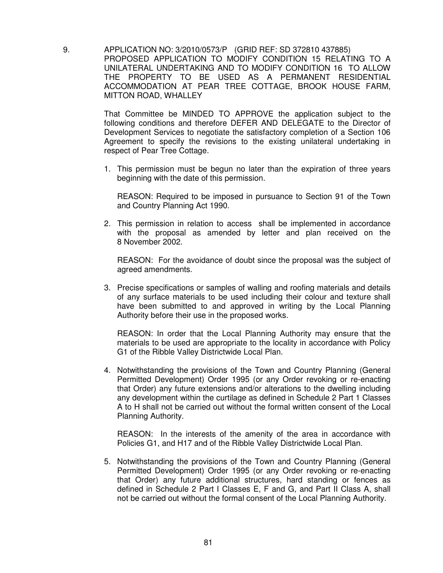9. APPLICATION NO: 3/2010/0573/P (GRID REF: SD 372810 437885) PROPOSED APPLICATION TO MODIFY CONDITION 15 RELATING TO A UNILATERAL UNDERTAKING AND TO MODIFY CONDITION 16 TO ALLOW THE PROPERTY TO BE USED AS A PERMANENT RESIDENTIAL ACCOMMODATION AT PEAR TREE COTTAGE, BROOK HOUSE FARM, MITTON ROAD, WHALLEY

> That Committee be MINDED TO APPROVE the application subject to the following conditions and therefore DEFER AND DELEGATE to the Director of Development Services to negotiate the satisfactory completion of a Section 106 Agreement to specify the revisions to the existing unilateral undertaking in respect of Pear Tree Cottage.

> 1. This permission must be begun no later than the expiration of three years beginning with the date of this permission.

 REASON: Required to be imposed in pursuance to Section 91 of the Town and Country Planning Act 1990.

2. This permission in relation to access shall be implemented in accordance with the proposal as amended by letter and plan received on the 8 November 2002.

 REASON: For the avoidance of doubt since the proposal was the subject of agreed amendments.

3. Precise specifications or samples of walling and roofing materials and details of any surface materials to be used including their colour and texture shall have been submitted to and approved in writing by the Local Planning Authority before their use in the proposed works.

 REASON: In order that the Local Planning Authority may ensure that the materials to be used are appropriate to the locality in accordance with Policy G1 of the Ribble Valley Districtwide Local Plan.

4. Notwithstanding the provisions of the Town and Country Planning (General Permitted Development) Order 1995 (or any Order revoking or re-enacting that Order) any future extensions and/or alterations to the dwelling including any development within the curtilage as defined in Schedule 2 Part 1 Classes A to H shall not be carried out without the formal written consent of the Local Planning Authority.

 REASON: In the interests of the amenity of the area in accordance with Policies G1, and H17 and of the Ribble Valley Districtwide Local Plan.

5. Notwithstanding the provisions of the Town and Country Planning (General Permitted Development) Order 1995 (or any Order revoking or re-enacting that Order) any future additional structures, hard standing or fences as defined in Schedule 2 Part I Classes E, F and G, and Part II Class A, shall not be carried out without the formal consent of the Local Planning Authority.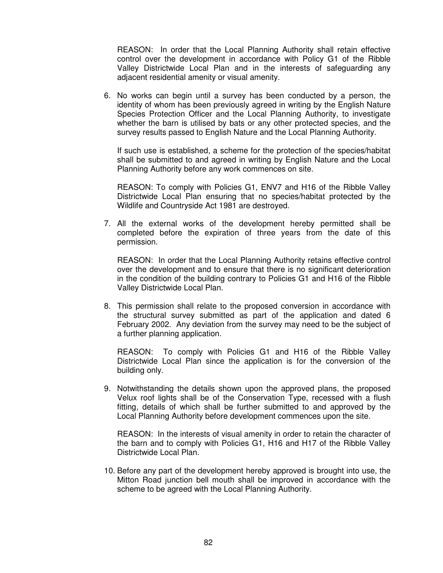REASON: In order that the Local Planning Authority shall retain effective control over the development in accordance with Policy G1 of the Ribble Valley Districtwide Local Plan and in the interests of safeguarding any adjacent residential amenity or visual amenity.

6. No works can begin until a survey has been conducted by a person, the identity of whom has been previously agreed in writing by the English Nature Species Protection Officer and the Local Planning Authority, to investigate whether the barn is utilised by bats or any other protected species, and the survey results passed to English Nature and the Local Planning Authority.

 If such use is established, a scheme for the protection of the species/habitat shall be submitted to and agreed in writing by English Nature and the Local Planning Authority before any work commences on site.

 REASON: To comply with Policies G1, ENV7 and H16 of the Ribble Valley Districtwide Local Plan ensuring that no species/habitat protected by the Wildlife and Countryside Act 1981 are destroyed.

7. All the external works of the development hereby permitted shall be completed before the expiration of three years from the date of this permission.

 REASON: In order that the Local Planning Authority retains effective control over the development and to ensure that there is no significant deterioration in the condition of the building contrary to Policies G1 and H16 of the Ribble Valley Districtwide Local Plan.

8. This permission shall relate to the proposed conversion in accordance with the structural survey submitted as part of the application and dated 6 February 2002. Any deviation from the survey may need to be the subject of a further planning application.

 REASON: To comply with Policies G1 and H16 of the Ribble Valley Districtwide Local Plan since the application is for the conversion of the building only.

9. Notwithstanding the details shown upon the approved plans, the proposed Velux roof lights shall be of the Conservation Type, recessed with a flush fitting, details of which shall be further submitted to and approved by the Local Planning Authority before development commences upon the site.

 REASON: In the interests of visual amenity in order to retain the character of the barn and to comply with Policies G1, H16 and H17 of the Ribble Valley Districtwide Local Plan.

10. Before any part of the development hereby approved is brought into use, the Mitton Road junction bell mouth shall be improved in accordance with the scheme to be agreed with the Local Planning Authority.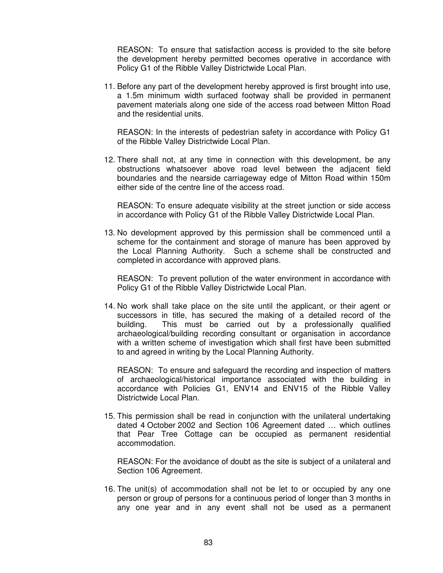REASON: To ensure that satisfaction access is provided to the site before the development hereby permitted becomes operative in accordance with Policy G1 of the Ribble Valley Districtwide Local Plan.

11. Before any part of the development hereby approved is first brought into use, a 1.5m minimum width surfaced footway shall be provided in permanent pavement materials along one side of the access road between Mitton Road and the residential units.

 REASON: In the interests of pedestrian safety in accordance with Policy G1 of the Ribble Valley Districtwide Local Plan.

12. There shall not, at any time in connection with this development, be any obstructions whatsoever above road level between the adjacent field boundaries and the nearside carriageway edge of Mitton Road within 150m either side of the centre line of the access road.

 REASON: To ensure adequate visibility at the street junction or side access in accordance with Policy G1 of the Ribble Valley Districtwide Local Plan.

13. No development approved by this permission shall be commenced until a scheme for the containment and storage of manure has been approved by the Local Planning Authority. Such a scheme shall be constructed and completed in accordance with approved plans.

 REASON: To prevent pollution of the water environment in accordance with Policy G1 of the Ribble Valley Districtwide Local Plan.

14. No work shall take place on the site until the applicant, or their agent or successors in title, has secured the making of a detailed record of the building. This must be carried out by a professionally qualified archaeological/building recording consultant or organisation in accordance with a written scheme of investigation which shall first have been submitted to and agreed in writing by the Local Planning Authority.

 REASON: To ensure and safeguard the recording and inspection of matters of archaeological/historical importance associated with the building in accordance with Policies G1, ENV14 and ENV15 of the Ribble Valley Districtwide Local Plan.

15. This permission shall be read in conjunction with the unilateral undertaking dated 4 October 2002 and Section 106 Agreement dated … which outlines that Pear Tree Cottage can be occupied as permanent residential accommodation.

 REASON: For the avoidance of doubt as the site is subject of a unilateral and Section 106 Agreement.

16. The unit(s) of accommodation shall not be let to or occupied by any one person or group of persons for a continuous period of longer than 3 months in any one year and in any event shall not be used as a permanent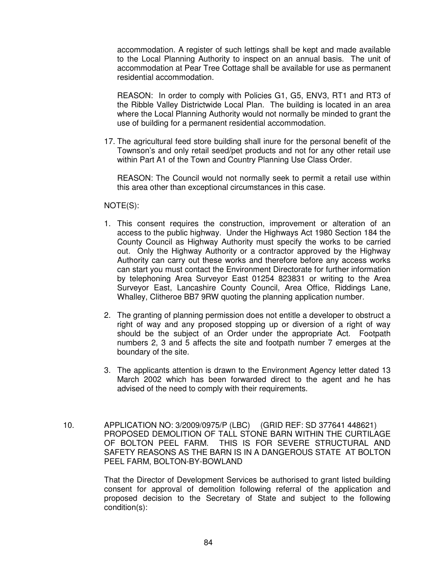accommodation. A register of such lettings shall be kept and made available to the Local Planning Authority to inspect on an annual basis. The unit of accommodation at Pear Tree Cottage shall be available for use as permanent residential accommodation.

 REASON: In order to comply with Policies G1, G5, ENV3, RT1 and RT3 of the Ribble Valley Districtwide Local Plan. The building is located in an area where the Local Planning Authority would not normally be minded to grant the use of building for a permanent residential accommodation.

17. The agricultural feed store building shall inure for the personal benefit of the Townson's and only retail seed/pet products and not for any other retail use within Part A1 of the Town and Country Planning Use Class Order.

 REASON: The Council would not normally seek to permit a retail use within this area other than exceptional circumstances in this case.

## NOTE(S):

- 1. This consent requires the construction, improvement or alteration of an access to the public highway. Under the Highways Act 1980 Section 184 the County Council as Highway Authority must specify the works to be carried out. Only the Highway Authority or a contractor approved by the Highway Authority can carry out these works and therefore before any access works can start you must contact the Environment Directorate for further information by telephoning Area Surveyor East 01254 823831 or writing to the Area Surveyor East, Lancashire County Council, Area Office, Riddings Lane, Whalley, Clitheroe BB7 9RW quoting the planning application number.
- 2. The granting of planning permission does not entitle a developer to obstruct a right of way and any proposed stopping up or diversion of a right of way should be the subject of an Order under the appropriate Act. Footpath numbers 2, 3 and 5 affects the site and footpath number 7 emerges at the boundary of the site.
- 3. The applicants attention is drawn to the Environment Agency letter dated 13 March 2002 which has been forwarded direct to the agent and he has advised of the need to comply with their requirements.
- 10. APPLICATION NO: 3/2009/0975/P (LBC) (GRID REF: SD 377641 448621) PROPOSED DEMOLITION OF TALL STONE BARN WITHIN THE CURTILAGE OF BOLTON PEEL FARM. THIS IS FOR SEVERE STRUCTURAL AND SAFETY REASONS AS THE BARN IS IN A DANGEROUS STATE AT BOLTON PEEL FARM, BOLTON-BY-BOWLAND

That the Director of Development Services be authorised to grant listed building consent for approval of demolition following referral of the application and proposed decision to the Secretary of State and subject to the following condition(s):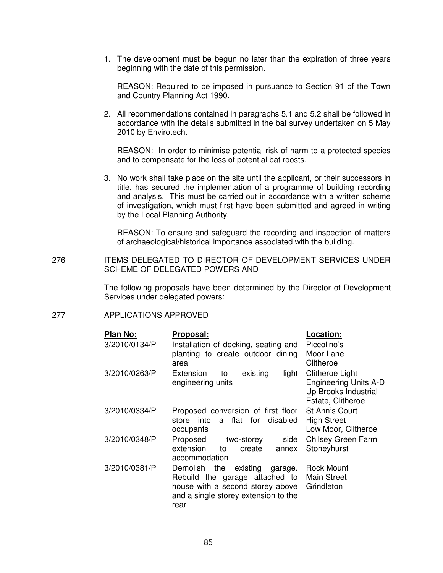1. The development must be begun no later than the expiration of three years beginning with the date of this permission.

 REASON: Required to be imposed in pursuance to Section 91 of the Town and Country Planning Act 1990.

2. All recommendations contained in paragraphs 5.1 and 5.2 shall be followed in accordance with the details submitted in the bat survey undertaken on 5 May 2010 by Envirotech.

 REASON: In order to minimise potential risk of harm to a protected species and to compensate for the loss of potential bat roosts.

3. No work shall take place on the site until the applicant, or their successors in title, has secured the implementation of a programme of building recording and analysis. This must be carried out in accordance with a written scheme of investigation, which must first have been submitted and agreed in writing by the Local Planning Authority.

 REASON: To ensure and safeguard the recording and inspection of matters of archaeological/historical importance associated with the building.

276 ITEMS DELEGATED TO DIRECTOR OF DEVELOPMENT SERVICES UNDER SCHEME OF DELEGATED POWERS AND

> The following proposals have been determined by the Director of Development Services under delegated powers:

## 277 APPLICATIONS APPROVED

| Plan No:      | Proposal:                                    | Location:                    |
|---------------|----------------------------------------------|------------------------------|
| 3/2010/0134/P | Installation of decking, seating and         | Piccolino's                  |
|               | planting to create outdoor dining            | Moor Lane                    |
|               | area                                         | Clitheroe                    |
| 3/2010/0263/P | Extension<br>existing<br>light<br>to         | Clitheroe Light              |
|               | engineering units                            | <b>Engineering Units A-D</b> |
|               |                                              | Up Brooks Industrial         |
|               |                                              | Estate, Clitheroe            |
| 3/2010/0334/P | Proposed conversion of first floor           | St Ann's Court               |
|               | flat for<br>disabled<br>store into<br>a      | <b>High Street</b>           |
|               | occupants                                    | Low Moor, Clitheroe          |
| 3/2010/0348/P | Proposed<br>side<br>two-storey               | <b>Chilsey Green Farm</b>    |
|               | extension<br>to<br>create<br>annex           | Stoneyhurst                  |
|               | accommodation                                |                              |
| 3/2010/0381/P | Demolish<br>existing<br>the<br>garage.       | <b>Rock Mount</b>            |
|               | Rebuild the garage attached to               | <b>Main Street</b>           |
|               | house with a second storey above             | Grindleton                   |
|               | and a single storey extension to the<br>rear |                              |
|               |                                              |                              |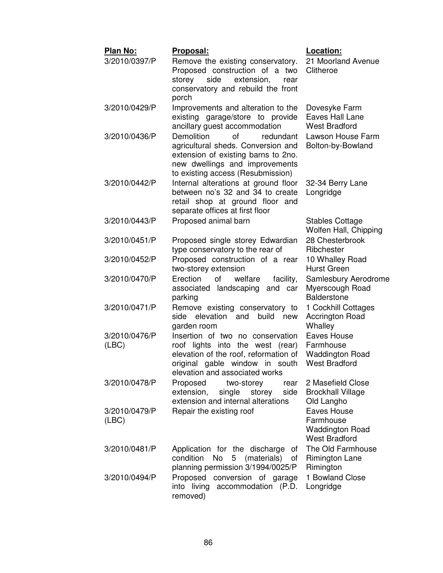| Plan No:               | Proposal:                                                                                                                                                                                | <b>Location:</b>                                                           |
|------------------------|------------------------------------------------------------------------------------------------------------------------------------------------------------------------------------------|----------------------------------------------------------------------------|
| 3/2010/0397/P          | Remove the existing conservatory.<br>Proposed construction of a two<br>storey side<br>extension,<br>rear<br>conservatory and rebuild the front<br>porch                                  | 21 Moorland Avenue<br>Clitheroe                                            |
| 3/2010/0429/P          | Improvements and alteration to the<br>existing garage/store to provide<br>ancillary guest accommodation                                                                                  | Dovesyke Farm<br>Eaves Hall Lane<br><b>West Bradford</b>                   |
| 3/2010/0436/P          | <b>Demolition</b><br>of<br>redundant<br>agricultural sheds. Conversion and<br>extension of existing barns to 2no.<br>new dwellings and improvements<br>to existing access (Resubmission) | Lawson House Farm<br>Bolton-by-Bowland                                     |
| 3/2010/0442/P          | Internal alterations at ground floor<br>between no's 32 and 34 to create<br>retail shop at ground floor and<br>separate offices at first floor                                           | 32-34 Berry Lane<br>Longridge                                              |
| 3/2010/0443/P          | Proposed animal barn                                                                                                                                                                     | <b>Stables Cottage</b><br>Wolfen Hall, Chipping                            |
| 3/2010/0451/P          | Proposed single storey Edwardian<br>type conservatory to the rear of                                                                                                                     | 28 Chesterbrook<br>Ribchester                                              |
| 3/2010/0452/P          | Proposed construction of a rear<br>two-storey extension                                                                                                                                  | 10 Whalley Road<br><b>Hurst Green</b>                                      |
| 3/2010/0470/P          | Erection<br>of<br>welfare<br>facility,<br>associated landscaping and car<br>parking                                                                                                      | Samlesbury Aerodrome<br>Myerscough Road<br><b>Balderstone</b>              |
| 3/2010/0471/P          | Remove existing conservatory to<br>side<br>elevation<br>and<br>build<br>new<br>garden room                                                                                               | 1 Cockhill Cottages<br>Accrington Road<br>Whalley                          |
| 3/2010/0476/P<br>(ABC) | Insertion of two no conservation<br>roof lights into the west (rear)<br>elevation of the roof, reformation of<br>original gable window in south<br>elevation and associated works        | Eaves House<br>Farmhouse<br><b>Waddington Road</b><br><b>West Bradford</b> |
| 3/2010/0478/P          | Proposed<br>two-storey<br>rear<br>side<br>extension,<br>single<br>storey<br>extension and internal alterations                                                                           | 2 Masefield Close<br><b>Brockhall Village</b><br>Old Langho                |
| 3/2010/0479/P<br>(ABC) | Repair the existing roof                                                                                                                                                                 | Eaves House<br>Farmhouse<br><b>Waddington Road</b><br><b>West Bradford</b> |
| 3/2010/0481/P          | Application for the discharge of<br>No<br>(materials) of<br>condition<br>5<br>planning permission 3/1994/0025/P                                                                          | The Old Farmhouse<br><b>Rimington Lane</b><br>Rimington                    |
| 3/2010/0494/P          | Proposed<br>conversion of garage<br>into living accommodation (P.D.<br>removed)                                                                                                          | 1 Bowland Close<br>Longridge                                               |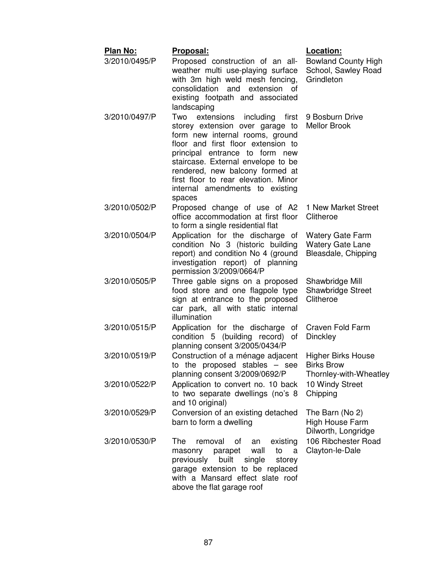| <b>Plan No:</b> | <u> Proposal:</u>                                                                                                                                                                                                                                                                                                                                   | Location:                                                                 |
|-----------------|-----------------------------------------------------------------------------------------------------------------------------------------------------------------------------------------------------------------------------------------------------------------------------------------------------------------------------------------------------|---------------------------------------------------------------------------|
| 3/2010/0495/P   | Proposed construction of an all-<br>weather multi use-playing surface<br>with 3m high weld mesh fencing,<br>consolidation and extension of<br>existing footpath and associated<br>landscaping                                                                                                                                                       | <b>Bowland County High</b><br>School, Sawley Road<br>Grindleton           |
| 3/2010/0497/P   | Two<br>extensions<br>first<br>including<br>storey extension over garage to<br>form new internal rooms, ground<br>floor and first floor extension to<br>principal entrance to form new<br>staircase. External envelope to be<br>rendered, new balcony formed at<br>first floor to rear elevation. Minor<br>internal amendments to existing<br>spaces | 9 Bosburn Drive<br><b>Mellor Brook</b>                                    |
| 3/2010/0502/P   | Proposed change of use of A2<br>office accommodation at first floor<br>to form a single residential flat                                                                                                                                                                                                                                            | 1 New Market Street<br>Clitheroe                                          |
| 3/2010/0504/P   | Application for the discharge of<br>condition No 3 (historic building<br>report) and condition No 4 (ground<br>investigation report) of planning<br>permission 3/2009/0664/P                                                                                                                                                                        | <b>Watery Gate Farm</b><br><b>Watery Gate Lane</b><br>Bleasdale, Chipping |
| 3/2010/0505/P   | Three gable signs on a proposed<br>food store and one flagpole type<br>sign at entrance to the proposed<br>car park, all with static internal<br>illumination                                                                                                                                                                                       | Shawbridge Mill<br>Shawbridge Street<br>Clitheroe                         |
| 3/2010/0515/P   | Application for the discharge of<br>condition 5 (building record) of<br>planning consent 3/2005/0434/P                                                                                                                                                                                                                                              | Craven Fold Farm<br>Dinckley                                              |
| 3/2010/0519/P   | Construction of a ménage adjacent<br>to the proposed stables $-$ see<br>planning consent 3/2009/0692/P                                                                                                                                                                                                                                              | <b>Higher Birks House</b><br><b>Birks Brow</b><br>Thornley-with-Wheatley  |
| 3/2010/0522/P   | Application to convert no. 10 back<br>to two separate dwellings (no's 8<br>and 10 original)                                                                                                                                                                                                                                                         | 10 Windy Street<br>Chipping                                               |
| 3/2010/0529/P   | Conversion of an existing detached<br>barn to form a dwelling                                                                                                                                                                                                                                                                                       | The Barn (No 2)<br>High House Farm<br>Dilworth, Longridge                 |
| 3/2010/0530/P   | The<br>removal<br>existing<br>οf<br>an<br>parapet<br>wall<br>to<br>masonry<br>a<br>built<br>previously<br>single<br>storey<br>garage extension to be replaced<br>with a Mansard effect slate roof<br>above the flat garage roof                                                                                                                     | 106 Ribchester Road<br>Clayton-le-Dale                                    |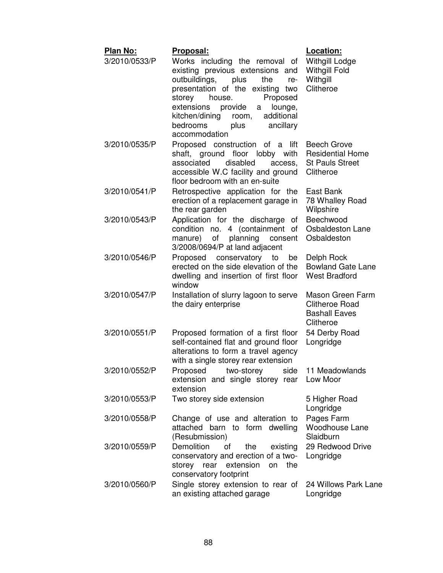| Plan No:<br>3/2010/0533/P | <u>Proposal:</u><br>Works including the removal of<br>existing previous extensions and<br>outbuildings,<br>plus<br>the<br>re-<br>presentation of the existing two<br>storey<br>house.<br>Proposed<br>extensions<br>provide<br>lounge,<br>a<br>kitchen/dining<br>additional<br>room,<br>ancillary<br>bedrooms<br>plus<br>accommodation | Location:<br>Withgill Lodge<br><b>Withgill Fold</b><br>Withgill<br>Clitheroe         |
|---------------------------|---------------------------------------------------------------------------------------------------------------------------------------------------------------------------------------------------------------------------------------------------------------------------------------------------------------------------------------|--------------------------------------------------------------------------------------|
| 3/2010/0535/P             | Proposed construction of a lift<br>shaft, ground floor lobby<br>with<br>associated<br>disabled<br>access,<br>accessible W.C facility and ground<br>floor bedroom with an en-suite                                                                                                                                                     | <b>Beech Grove</b><br><b>Residential Home</b><br><b>St Pauls Street</b><br>Clitheroe |
| 3/2010/0541/P             | Retrospective application for the<br>erection of a replacement garage in<br>the rear garden                                                                                                                                                                                                                                           | East Bank<br>78 Whalley Road<br>Wilpshire                                            |
| 3/2010/0543/P             | Application for the discharge of<br>condition no. 4 (containment of<br>of<br>planning<br>manure)<br>consent<br>3/2008/0694/P at land adjacent                                                                                                                                                                                         | Beechwood<br>Osbaldeston Lane<br>Osbaldeston                                         |
| 3/2010/0546/P             | Proposed conservatory to<br>be<br>erected on the side elevation of the<br>dwelling and insertion of first floor<br>window                                                                                                                                                                                                             | Delph Rock<br><b>Bowland Gate Lane</b><br><b>West Bradford</b>                       |
| 3/2010/0547/P             | Installation of slurry lagoon to serve<br>the dairy enterprise                                                                                                                                                                                                                                                                        | Mason Green Farm<br><b>Clitheroe Road</b><br><b>Bashall Eaves</b><br>Clitheroe       |
| 3/2010/0551/P             | Proposed formation of a first floor<br>self-contained flat and ground floor<br>alterations to form a travel agency<br>with a single storey rear extension                                                                                                                                                                             | 54 Derby Road<br>Longridge                                                           |
| 3/2010/0552/P             | Proposed two-storey side<br>extension and single storey rear<br>extension                                                                                                                                                                                                                                                             | 11 Meadowlands<br>Low Moor                                                           |
| 3/2010/0553/P             | Two storey side extension                                                                                                                                                                                                                                                                                                             | 5 Higher Road<br>Longridge                                                           |
| 3/2010/0558/P             | Change of use and alteration to<br>attached barn to form dwelling<br>(Resubmission)                                                                                                                                                                                                                                                   | Pages Farm<br>Woodhouse Lane<br>Slaidburn                                            |
| 3/2010/0559/P             | Demolition<br>οf<br>the<br>existing<br>conservatory and erection of a two-<br>storey rear<br>extension<br>on the<br>conservatory footprint                                                                                                                                                                                            | 29 Redwood Drive<br>Longridge                                                        |
| 3/2010/0560/P             | Single storey extension to rear of<br>an existing attached garage                                                                                                                                                                                                                                                                     | 24 Willows Park Lane<br>Longridge                                                    |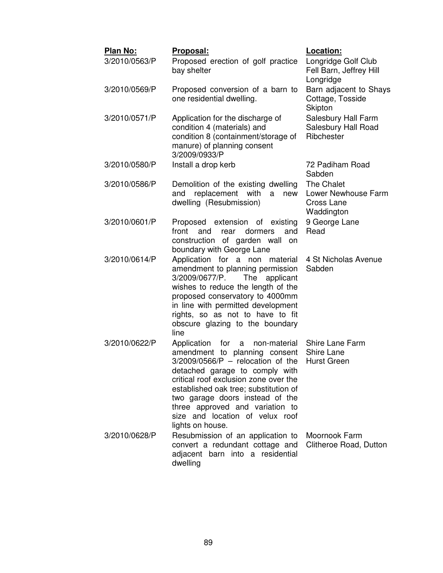| Plan No:      | Proposal:                                                                                                                                                                                                                                                                                                                                                        | Location:                                                     |
|---------------|------------------------------------------------------------------------------------------------------------------------------------------------------------------------------------------------------------------------------------------------------------------------------------------------------------------------------------------------------------------|---------------------------------------------------------------|
| 3/2010/0563/P | Proposed erection of golf practice<br>bay shelter                                                                                                                                                                                                                                                                                                                | Longridge Golf Club<br>Fell Barn, Jeffrey Hill<br>Longridge   |
| 3/2010/0569/P | Proposed conversion of a barn to<br>one residential dwelling.                                                                                                                                                                                                                                                                                                    | Barn adjacent to Shays<br>Cottage, Tosside<br>Skipton         |
| 3/2010/0571/P | Application for the discharge of<br>condition 4 (materials) and<br>condition 8 (containment/storage of<br>manure) of planning consent<br>3/2009/0933/P                                                                                                                                                                                                           | Salesbury Hall Farm<br>Salesbury Hall Road<br>Ribchester      |
| 3/2010/0580/P | Install a drop kerb                                                                                                                                                                                                                                                                                                                                              | 72 Padiham Road<br>Sabden                                     |
| 3/2010/0586/P | Demolition of the existing dwelling<br>with<br>replacement<br>and<br>new<br>a<br>dwelling (Resubmission)                                                                                                                                                                                                                                                         | The Chalet<br>Lower Newhouse Farm<br>Cross Lane<br>Waddington |
| 3/2010/0601/P | Proposed extension of existing<br>front<br>and<br>dormers<br>rear<br>and<br>construction of garden wall on<br>boundary with George Lane                                                                                                                                                                                                                          | 9 George Lane<br>Read                                         |
| 3/2010/0614/P | Application for a non material<br>amendment to planning permission<br>3/2009/0677/P.<br>The<br>applicant<br>wishes to reduce the length of the<br>proposed conservatory to 4000mm<br>in line with permitted development<br>rights, so as not to have to fit<br>obscure glazing to the boundary<br>line                                                           | 4 St Nicholas Avenue<br>Sabden                                |
| 3/2010/0622/P | Application<br>for<br>non-material<br>a<br>amendment to planning consent<br>$3/2009/0566/P$ – relocation of the<br>detached garage to comply with<br>critical roof exclusion zone over the<br>established oak tree; substitution of<br>two garage doors instead of the<br>three approved and variation to<br>size and location of velux roof<br>lights on house. | Shire Lane Farm<br>Shire Lane<br><b>Hurst Green</b>           |
| 3/2010/0628/P | Resubmission of an application to<br>convert a redundant cottage and<br>adjacent barn into a residential<br>dwelling                                                                                                                                                                                                                                             | Moornook Farm<br>Clitheroe Road, Dutton                       |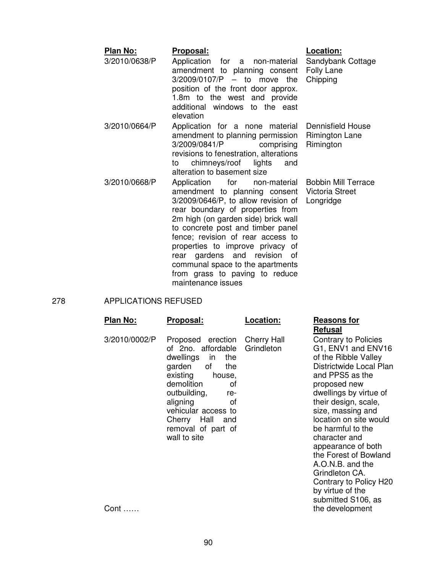| Plan No:      | Proposal:                                                                                                                                                                                                                                                                                                                                                                                                       | Location:                                                         |
|---------------|-----------------------------------------------------------------------------------------------------------------------------------------------------------------------------------------------------------------------------------------------------------------------------------------------------------------------------------------------------------------------------------------------------------------|-------------------------------------------------------------------|
| 3/2010/0638/P | Application for a non-material<br>amendment to planning consent<br>$3/2009/0107/P$ - to move the<br>position of the front door approx.<br>1.8m to the west and provide<br>additional windows to the east<br>elevation                                                                                                                                                                                           | Sandybank Cottage<br>Folly Lane<br>Chipping                       |
| 3/2010/0664/P | Application for a none material<br>amendment to planning permission<br>3/2009/0841/P<br>comprising<br>revisions to fenestration, alterations<br>chimneys/roof lights<br>and<br>to<br>alteration to basement size                                                                                                                                                                                                | Dennisfield House<br><b>Rimington Lane</b><br>Rimington           |
| 3/2010/0668/P | Application<br>for<br>non-material<br>amendment to planning consent<br>$3/2009/0646/P$ , to allow revision of<br>rear boundary of properties from<br>2m high (on garden side) brick wall<br>to concrete post and timber panel<br>fence; revision of rear access to<br>properties to improve privacy of<br>rear gardens and revision<br>0t<br>communal space to the apartments<br>from grass to paving to reduce | <b>Bobbin Mill Terrace</b><br><b>Victoria Street</b><br>Longridge |

278 APPLICATIONS REFUSED

| Plan No:      | Proposal:                                                                                                                                                                                                                                                                       | Location: | <b>Reasons for</b><br><b>Refusal</b>                                                                                                                                                                                                                                                                            |
|---------------|---------------------------------------------------------------------------------------------------------------------------------------------------------------------------------------------------------------------------------------------------------------------------------|-----------|-----------------------------------------------------------------------------------------------------------------------------------------------------------------------------------------------------------------------------------------------------------------------------------------------------------------|
| 3/2010/0002/P | Proposed erection Cherry Hall<br>of 2no. affordable Grindleton<br>dwellings in<br>the<br>garden of<br>the<br>existing<br>house,<br>demolition<br>οf<br>outbuilding,<br>re-<br>aligning<br>οf<br>vehicular access to<br>Hall and<br>Cherry<br>removal of part of<br>wall to site |           | Contrary to P<br>G1, ENV1 an<br>of the Ribble<br>Districtwide L<br>and PPS5 as<br>proposed nev<br>dwellings by v<br>their design, s<br>size, massing<br>location on sit<br>be harmful to<br>character and<br>appearance c<br>the Forest of<br>A.O.N.B. and<br>Grindleton CA<br>Contrary to P<br>by virtue of th |

maintenance issues

# **Refusal**

ntrary to Policies ENV1 and ENV16 ne Ribble Valley rictwide Local Plan PPS5 as the posed new llings by virtue of r design, scale, sing and  $\widetilde{\mathbf{r}}$  ation on site would harmful to the racter and earance of both Forest of Bowland N.B. and the dleton CA. Contrary to Policy H20 by virtue of the submitted S106, as the development

Cont ……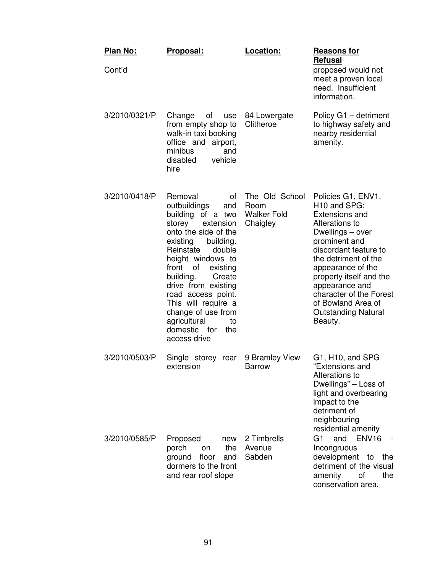| Plan No:<br>Cont'd | Proposal:                                                                                                                                                                                                                                                                                                                                                                              | Location:                                                | <b>Reasons for</b><br>Refusal<br>proposed would not<br>meet a proven local<br>need. Insufficient<br>information.                                                                                                                                                                                                                            |
|--------------------|----------------------------------------------------------------------------------------------------------------------------------------------------------------------------------------------------------------------------------------------------------------------------------------------------------------------------------------------------------------------------------------|----------------------------------------------------------|---------------------------------------------------------------------------------------------------------------------------------------------------------------------------------------------------------------------------------------------------------------------------------------------------------------------------------------------|
| 3/2010/0321/P      | Change<br>οf<br>use<br>from empty shop to<br>walk-in taxi booking<br>office and airport,<br>minibus<br>and<br>disabled<br>vehicle<br>hire                                                                                                                                                                                                                                              | 84 Lowergate<br>Clitheroe                                | Policy G1 - detriment<br>to highway safety and<br>nearby residential<br>amenity.                                                                                                                                                                                                                                                            |
| 3/2010/0418/P      | Removal<br>οf<br>outbuildings<br>and<br>building of a two<br>storey<br>extension<br>onto the side of the<br>existing<br>building.<br>Reinstate<br>double<br>height windows to<br>of<br>front<br>existing<br>building.<br>Create<br>drive from existing<br>road access point.<br>This will require a<br>change of use from<br>agricultural<br>to<br>domestic for<br>the<br>access drive | The Old School<br>Room<br><b>Walker Fold</b><br>Chaigley | Policies G1, ENV1,<br>H <sub>10</sub> and SPG:<br><b>Extensions and</b><br>Alterations to<br>Dwellings - over<br>prominent and<br>discordant feature to<br>the detriment of the<br>appearance of the<br>property itself and the<br>appearance and<br>character of the Forest<br>of Bowland Area of<br><b>Outstanding Natural</b><br>Beauty. |
| 3/2010/0503/P      | Single storey rear<br>extension                                                                                                                                                                                                                                                                                                                                                        | 9 Bramley View<br><b>Barrow</b>                          | G1, H10, and SPG<br>"Extensions and<br>Alterations to<br>Dwellings" – Loss of<br>light and overbearing<br>impact to the<br>detriment of<br>neighbouring<br>residential amenity                                                                                                                                                              |
| 3/2010/0585/P      | Proposed<br>new<br>the<br>porch<br>on<br>floor<br>ground<br>and<br>dormers to the front<br>and rear roof slope                                                                                                                                                                                                                                                                         | 2 Timbrells<br>Avenue<br>Sabden                          | G <sub>1</sub><br>ENV <sub>16</sub><br>and<br>Incongruous<br>development<br>to<br>the<br>detriment of the visual<br>amenity<br>οf<br>the<br>conservation area.                                                                                                                                                                              |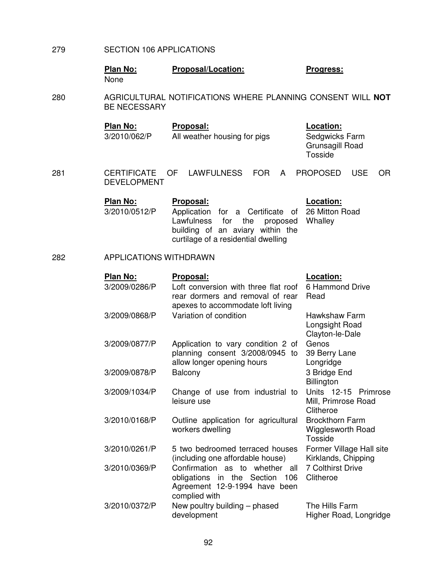- 279 SECTION 106 APPLICATIONS
	- **Plan No:** Proposal/Location: Progress: None

280 AGRICULTURAL NOTIFICATIONS WHERE PLANNING CONSENT WILL **NOT** BE NECESSARY

> **Plan No:** Proposal: **Proposal:** Location: 3/2010/062/P All weather housing for pigs Sedgwicks Farm

Grunsagill Road **Tosside** 

281 CERTIFICATE OF LAWFULNESS FOR A PROPOSED USE OR DEVELOPMENT

| Plan No:      | <b>Proposal:</b>                                                                                                                                                  | Location: |
|---------------|-------------------------------------------------------------------------------------------------------------------------------------------------------------------|-----------|
| 3/2010/0512/P | Application for a Certificate of 26 Mitton Road<br>Lawfulness for the proposed Whalley<br>building of an aviary within the<br>curtilage of a residential dwelling |           |
|               |                                                                                                                                                                   |           |

## 282 APPLICATIONS WITHDRAWN

| <b>Plan No:</b> | Proposal:                                                                                                             | Location:                                                 |
|-----------------|-----------------------------------------------------------------------------------------------------------------------|-----------------------------------------------------------|
| 3/2009/0286/P   | Loft conversion with three flat roof<br>rear dormers and removal of rear<br>apexes to accommodate loft living         | 6 Hammond Drive<br>Read                                   |
| 3/2009/0868/P   | Variation of condition                                                                                                | <b>Hawkshaw Farm</b><br>Longsight Road<br>Clayton-le-Dale |
| 3/2009/0877/P   | Application to vary condition 2 of<br>planning consent 3/2008/0945 to<br>allow longer opening hours                   | Genos<br>39 Berry Lane<br>Longridge                       |
| 3/2009/0878/P   | Balcony                                                                                                               | 3 Bridge End<br>Billington                                |
| 3/2009/1034/P   | Change of use from industrial to<br>leisure use                                                                       | Units 12-15 Primrose<br>Mill, Primrose Road<br>Clitheroe  |
| 3/2010/0168/P   | Outline application for agricultural<br>workers dwelling                                                              | <b>Brockthorn Farm</b><br>Wigglesworth Road<br>Tosside    |
| 3/2010/0261/P   | 5 two bedroomed terraced houses<br>(including one affordable house)                                                   | Former Village Hall site<br>Kirklands, Chipping           |
| 3/2010/0369/P   | Confirmation as to whether all<br>obligations in the Section<br>106<br>Agreement 12-9-1994 have been<br>complied with | <b>7 Colthirst Drive</b><br>Clitheroe                     |
| 3/2010/0372/P   | New poultry building – phased<br>development                                                                          | The Hills Farm<br>Higher Road, Longridge                  |